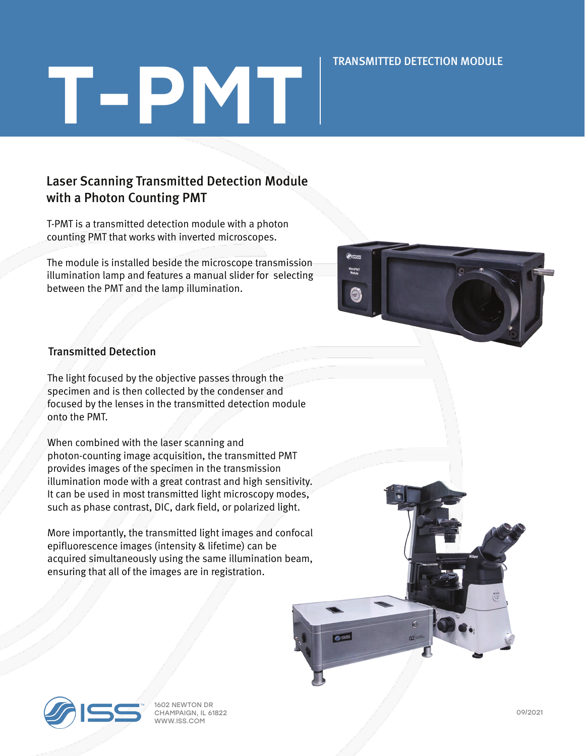#### TRANSMITTED DETECTION MODULE

# T-PMT

### Laser Scanning Transmitted Detection Module with a Photon Counting PMT

T-PMT is a transmitted detection module with a photon counting PMT that works with inverted microscopes.

The module is installed beside the microscope transmission illumination lamp and features a manual slider for selecting between the PMT and the lamp illumination.



#### Transmitted Detection

The light focused by the objective passes through the specimen and is then collected by the condenser and focused by the lenses in the transmitted detection module onto the PMT.

When combined with the laser scanning and photon-counting image acquisition, the transmitted PMT provides images of the specimen in the transmission illumination mode with a great contrast and high sensitivity. It can be used in most transmitted light microscopy modes, such as phase contrast, DIC, dark field, or polarized light.

More importantly, the transmitted light images and confocal epifluorescence images (intensity & lifetime) can be acquired simultaneously using the same illumination beam, ensuring that all of the images are in registration.



1602 NEWTON DR CHAMPAIGN, IL 61822 WWW.ISS.COM